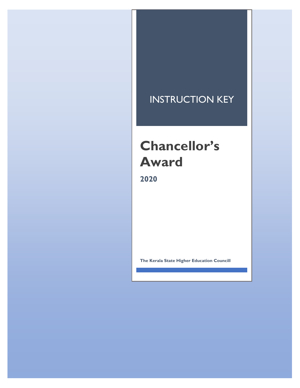## INSTRUCTION KEY

## **Chancellor's Award**

**2020**

**The Kerala State Higher Education Councill**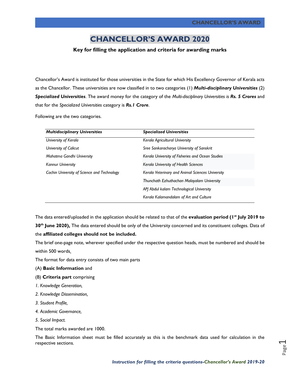## **CHANCELLOR'S AWARD 2020**

## **Key for filling the application and criteria for awarding marks**

Chancellor's Award is instituted for those universities in the State for which His Excellency Governor of Kerala acts as the Chancellor. These universities are now classified in to two categories (1) *Multi-disciplinary Universities* (2) *Specialized Universities*. The award money for the category of the *Multi-disciplinary Universities is Rs. 5 Crores* and that for the *Specialized Universities* category is *Rs.1 Crore*.

Following are the two categories.

| <b>Multidisciplinary Universities</b>       | <b>Specialized Universities</b>                  |
|---------------------------------------------|--------------------------------------------------|
| University of Kerala                        | Kerala Agricultural University                   |
| University of Calicut                       | Sree Sankaracharya University of Sanskrit        |
| Mahatma Gandhi University                   | Kerala University of Fisheries and Ocean Studies |
| <b>Kannur University</b>                    | <b>Kerala University of Health Sciences</b>      |
| Cochin University of Science and Technology | Kerala Veterinary and Animal Sciences University |
|                                             | Thunchath Ezhuthachan Malayalam University       |
|                                             | APJ Abdul kalam Technological University         |
|                                             | Kerala Kalamandalam of Art and Culture           |

The data entered/uploaded in the application should be related to that of the **evaluation period (1st July 2019 to 30th June 2020),** The data entered should be only of the University concerned and its constituent colleges. Data of the **affiliated colleges should not be included.**

The brief one-page note, wherever specified under the respective question heads, must be numbered and should be within 500 words.

The format for data entry consists of two main parts

- (A) **Basic Information** and
- (B) **Criteria part** comprising
- *1. Knowledge Generation,*
- *2. Knowledge Dissemination,*
- *3. Student Profile,*
- *4. Academic Governance,*
- *5. Social Impact.*

The total marks awarded are 1000.

The Basic Information sheet must be filled accurately as this is the benchmark data used for calculation in the respective sections.

Page  $\overline{\phantom{0}}$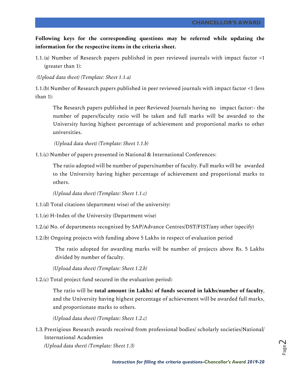**Following keys for the corresponding questions may be referred while updating the information for the respective items in the criteria sheet.**

1.1. (a) Number of Research papers published in peer reviewed journals with impact factor >1 (greater than 1):

*(Upload data sheet) (Template: Sheet 1.1.a)*

1.1.(b) Number of Research papers published in peer reviewed journals with impact factor <1 (less than 1):

The Research papers published in peer Reviewed Journals having no impact factor:- the number of papers/faculty ratio will be taken and full marks will be awarded to the University having highest percentage of achievement and proportional marks to other universities.

*(Upload data sheet) (Template: Sheet 1.1.b)*

1.1.(c) Number of papers presented in National & International Conferences:

The ratio adopted will be number of papers/number of faculty. Full marks will be awarded to the University having higher percentage of achievement and proportional marks to others.

*(Upload data sheet) (Template: Sheet 1.1.c)*

1.1.(d) Total citations (department wise) of the university:

- 1.1.(e) H-Index of the University (Department wise)
- 1.2.(a) No. of departments recognized by SAP/Advance Centres/DST/FIST/any other (specify)
- 1.2.(b) Ongoing projects with funding above 5 Lakhs in respect of evaluation period

The ratio adopted for awarding marks will be number of projects above Rs. 5 Lakhs divided by number of faculty.

*(Upload data sheet) (Template: Sheet 1.2.b)*

1.2.(c) Total project fund secured in the evaluation period**:**

The ratio will be **total amount (in Lakhs) of funds secured in lakhs/number of faculty**, and the University having highest percentage of achievement will be awarded full marks, and proportionate marks to others.

*(Upload data sheet) (Template: Sheet 1.2.c)*

1.3.Prestigious Research awards received from professional bodies/ scholarly societies/National/ International Academies

*(Upload data sheet) (Template: Sheet 1.3)*

Page  $\mathrel{\sim}$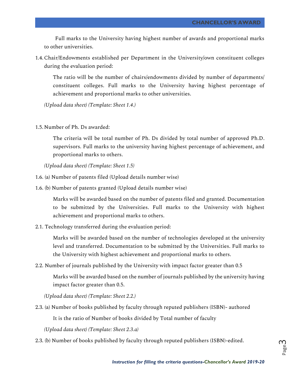Full marks to the University having highest number of awards and proportional marks to other universities.

1.4.Chair/Endowments established per Department in the University/own constituent colleges during the evaluation period:

The ratio will be the number of chairs/endowments divided by number of departments/ constituent colleges. Full marks to the University having highest percentage of achievement and proportional marks to other universities.

*(Upload data sheet) (Template: Sheet 1.4.)*

1.5.Number of Ph. Ds awarded:

The criteria will be total number of Ph. Ds divided by total number of approved Ph.D. supervisors. Full marks to the university having highest percentage of achievement, and proportional marks to others.

*(Upload data sheet) (Template: Sheet 1.5)*

- 1.6. (a) Number of patents filed (Upload details number wise)
- 1.6. (b) Number of patents granted (Upload details number wise)

Marks will be awarded based on the number of patents filed and granted. Documentation to be submitted by the Universities. Full marks to the University with highest achievement and proportional marks to others.

2.1. Technology transferred during the evaluation period:

Marks will be awarded based on the number of technologies developed at the university level and transferred. Documentation to be submitted by the Universities. Full marks to the University with highest achievement and proportional marks to others.

2.2. Number of journals published by the University with impact factor greater than 0.5

Marks will be awarded based on the number of journals published by the university having impact factor greater than 0.5.

*(Upload data sheet) (Template: Sheet 2.2.)*

2.3. (a) Number of books published by faculty through reputed publishers (ISBN)- authored

It is the ratio of Number of books divided by Total number of faculty

*(Upload data sheet) (Template: Sheet 2.3.a)*

2.3. (b) Number of books published by faculty through reputed publishers (ISBN)-edited.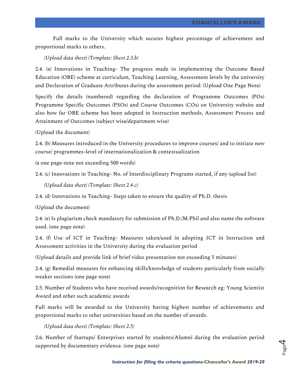Full marks to the University which secures highest percentage of achievement and proportional marks to others.

*(Upload data sheet) (Template: Sheet 2.3.b)*

2.4. (a) Innovations in Teaching- The progress made in implementing the Outcome Based Education (OBE) scheme at curriculum, Teaching Learning, Assessment levels by the university and Declaration of Graduate Attributes during the assessment period: (Upload One Page Note)

Specify the details (numbered) regarding the declaration of Programme Outcomes (POs) Programme Specific Outcomes (PSOs) and Course Outcomes (COs) on University website and also how far OBE scheme has been adopted in Instruction methods, Assessment Process and Attainment of Outcomes (subject wise/department wise)

(Upload the document)

2.4. (b) Measures introduced in the University procedures to improve courses/ and to initiate new course/ programmes-level of internationalization & contextualization

(a one page-note not exceeding 500 words)

2.4. (c) Innovations in Teaching- No. of Interdisciplinary Programs started, if any (upload list)

*(Upload data sheet) (Template: Sheet 2.4.c)*

2.4. (d) Innovations in Teaching- Steps taken to ensure the quality of Ph.D. thesis

(Upload the document)

2.4. (e) Is plagiarism check mandatory for submission of Ph.D./M.Phil and also name the software used. (one page note)

2.4. (f) Use of ICT in Teaching- Measures taken/used in adopting ICT in Instruction and Assessment activities in the University during the evaluation period

(Upload details and provide link of brief video presentation not exceeding 5 minutes)

2.4. (g) Remedial measures for enhancing skills/knowledge of students particularly from socially weaker sections (one page note)

2.5. Number of Students who have received awards/recognition for Research eg: Young Scientist Award and other such academic awards

Full marks will be awarded to the University having highest number of achievements and proportional marks to other universities based on the number of awards.

*(Upload data sheet) (Template: Sheet 2.5)*

2.6. Number of Startups/ Enterprises started by students/Alumni during the evaluation period supported by documentary evidence. (one page note)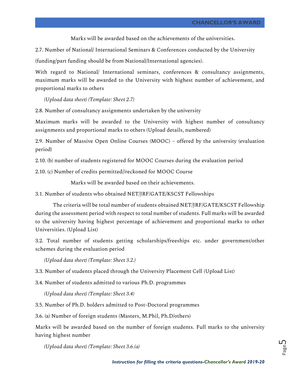Marks will be awarded based on the achievements of the universities.

2.7. Number of National/ International Seminars & Conferences conducted by the University

(funding/part funding should be from National/International agencies).

With regard to National/ International seminars, conferences & consultancy assignments, maximum marks will be awarded to the University with highest number of achievement, and proportional marks to others

*(Upload data sheet) (Template: Sheet 2.7)*

2.8. Number of consultancy assignments undertaken by the university

Maximum marks will be awarded to the University with highest number of consultancy assignments and proportional marks to others (Upload details, numbered)

2.9. Number of Massive Open Online Courses (MOOC) – offered by the university (evaluation period)

2.10. (b) number of students registered for MOOC Courses during the evaluation period

2.10. (c) Number of credits permitted//reckoned for MOOC Course

Marks will be awarded based on their achievements.

3.1. Number of students who obtained NET/JRF/GATE/KSCST Fellowships

The criteria will be total number of students obtained NET/JRF/GATE/KSCST Fellowship during the assessment period with respect to total number of students. Full marks will be awarded to the university having highest percentage of achievement and proportional marks to other Universities. (Upload List)

3.2. Total number of students getting scholarships/freeships etc. under government/other schemes during the evaluation period

*(Upload data sheet) (Template: Sheet 3.2.)*

3.3. Number of students placed through the University Placement Cell (Upload List)

3.4. Number of students admitted to various Ph.D. programmes

*(Upload data sheet) (Template: Sheet 3.4)*

3.5. Number of Ph.D. holders admitted to Post-Doctoral programmes

3.6. (a) Number of foreign students (Masters, M.Phil, Ph.D/others)

Marks will be awarded based on the number of foreign students. Full marks to the university having highest number

*(Upload data sheet) (Template: Sheet 3.6.(a)*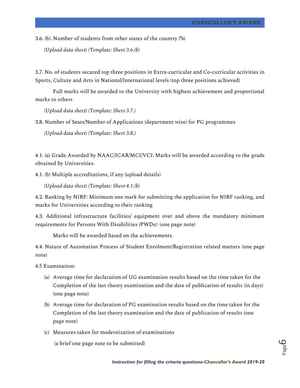3.6. (b). Number of students from other states of the country (%)

*(Upload data sheet) (Template: Sheet 3.6.(b)*

3.7. No. of students secured top three positions in Extra-curricular and Co-curricular activities in Sports, Culture and Arts in National/International levels (top three positions achieved)

Full marks will be awarded to the University with highest achievement and proportional marks to others

*(Upload data sheet) (Template: Sheet 3.7.)*

3.8. Number of Seats/Number of Applications (department wise) for PG programmes

*(Upload data sheet) (Template: Sheet 3.8.)*

4.1. (a) Grade Awarded by NAAC/ICAR/MCI/VCI: Marks will be awarded according to the grade obtained by Universities.

4.1. (b) Multiple accreditations, if any (upload details)

*(Upload data sheet) (Template: Sheet 4.1.(b)*

4.2. Ranking by NIRF: Minimum one mark for submitting the application for NIRF ranking, and marks for Universities according to their ranking

4.3. Additional infrastructure facilities/ equipment over and above the mandatory minimum requirements for Persons With Disabilities (PWDs): (one page note)

Marks will be awarded based on the achievements.

4.4. Nature of Automation Process of Student Enrolment/Registration related matters (one page note)

4.5 Examination:

- (a) Average time for declaration of UG examination results based on the time taken for the Completion of the last theory examination and the date of publication of results (in days) (one page note)
- (b) Average time for declaration of PG examination results based on the time taken for the Completion of the last theory examination and the date of publication of results (one page note)
- (c) Measures taken for modernization of examinations

(a brief one page note to be submitted)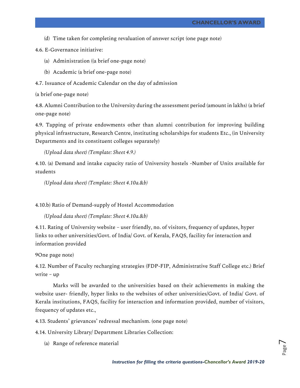(d) Time taken for completing revaluation of answer script (one page note)

4.6. E-Governance initiative:

- (a) Administration ((a brief one-page note)
- (b) Academic (a brief one-page note)
- 4.7. Issuance of Academic Calendar on the day of admission

(a brief one-page note)

4.8. Alumni Contribution to the University during the assessment period (amount in lakhs) (a brief one-page note)

4.9. Tapping of private endowments other than alumni contribution for improving building physical infrastructure, Research Centre, instituting scholarships for students Etc., (in University Departments and its constituent colleges separately)

*(Upload data sheet) (Template: Sheet 4.9.)*

4.10. (a) Demand and intake capacity ratio of University hostels -Number of Units available for students

*(Upload data sheet) (Template: Sheet 4.10a.&b)*

4.10.b) Ratio of Demand-supply of Hostel Accommodation

*(Upload data sheet) (Template: Sheet 4.10a.&b)*

4.11. Rating of University website – user friendly, no. of visitors, frequency of updates, hyper links to other universities/Govt. of India/ Govt. of Kerala, FAQS, facility for interaction and information provided

9One page note)

4.12. Number of Faculty recharging strategies (FDP-FIP, Administrative Staff College etc.) Brief write – up

Marks will be awarded to the universities based on their achievements in making the website user- friendly, hyper links to the websites of other universities/Govt. of India/ Govt. of Kerala institutions, FAQS, facility for interaction and information provided, number of visitors, frequency of updates etc.,

4.13. Students' grievances' redressal mechanism. (one page note)

4.14. University Library/ Department Libraries Collection:

(a) Range of reference material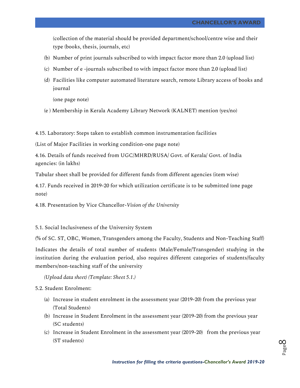(collection of the material should be provided department/school/centre wise and their type (books, thesis, journals, etc)

- (b) Number of print journals subscribed to with impact factor more than 2.0 (upload list)
- (c) Number of e -journals subscribed to with impact factor more than 2.0 (upload list)
- (d) Facilities like computer automated literature search, remote Library access of books and journal

(one page note)

(e ) Membership in Kerala Academy Library Network (KALNET) mention (yes/no)

4.15. Laboratory: Steps taken to establish common instrumentation facilities

(List of Major Facilities in working condition-one page note)

4.16. Details of funds received from UGC/MHRD/RUSA/ Govt. of Kerala/ Govt. of India agencies: (in lakhs)

Tabular sheet shall be provided for different funds from different agencies (item wise)

4.17. Funds received in 2019-20 for which utilization certificate is to be submitted (one page note)

4.18. Presentation by Vice Chancellor-*Vision of the University*

5.1. Social Inclusiveness of the University System

(% of SC. ST, OBC, Women, Transgenders among the Faculty, Students and Non-Teaching Staff)

Indicates the details of total number of students (Male/Female/Transgender) studying in the institution during the evaluation period, also requires different categories of students/faculty members/non-teaching staff of the university

*(Upload data sheet) (Template: Sheet 5.1.)*

5.2. Student Enrolment:

- (a) Increase in student enrolment in the assessment year (2019-20) from the previous year (Total Students)
- (b) Increase in Student Enrolment in the assessment year (2019-20) from the previous year (SC students)
- (c) Increase in Student Enrolment in the assessment year (2019-20) from the previous year (ST students)

Page  $\infty$